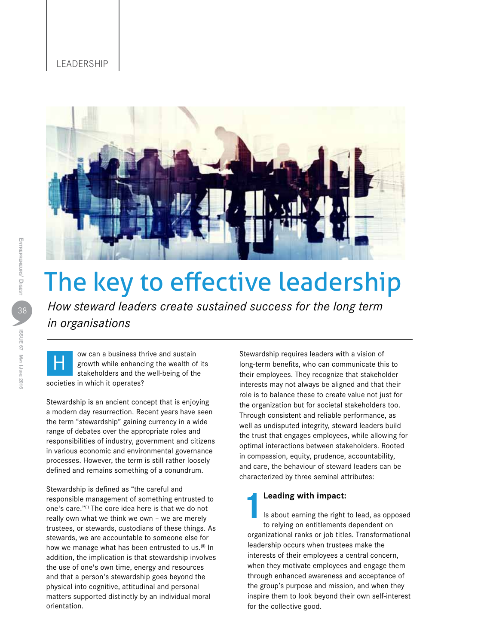### **LEADERSHIP**



# The key to effective leadership

*How steward leaders create sustained success for the long term in organisations*

ow can a business thrive and sustain growth while enhancing the wealth of its stakeholders and the well-being of the societies in which it operates? H

Stewardship is an ancient concept that is enjoying a modern day resurrection. Recent years have seen the term "stewardship" gaining currency in a wide range of debates over the appropriate roles and responsibilities of industry, government and citizens in various economic and environmental governance processes. However, the term is still rather loosely defined and remains something of a conundrum.

Stewardship is defined as "the careful and responsible management of something entrusted to one's care."(i) The core idea here is that we do not really own what we think we own – we are merely trustees, or stewards, custodians of these things. As stewards, we are accountable to someone else for how we manage what has been entrusted to us.<sup>(ii)</sup> In addition, the implication is that stewardship involves the use of one's own time, energy and resources and that a person's stewardship goes beyond the physical into cognitive, attitudinal and personal matters supported distinctly by an individual moral orientation.

Stewardship requires leaders with a vision of long-term benefits, who can communicate this to their employees. They recognize that stakeholder interests may not always be aligned and that their role is to balance these to create value not just for the organization but for societal stakeholders too. Through consistent and reliable performance, as well as undisputed integrity, steward leaders build the trust that engages employees, while allowing for optimal interactions between stakeholders. Rooted in compassion, equity, prudence, accountability, and care, the behaviour of steward leaders can be characterized by three seminal attributes:

## **1Leading with impact:**

Is about earning the right to lead, as opposed to relying on entitlements dependent on organizational ranks or job titles. Transformational leadership occurs when trustees make the interests of their employees a central concern, when they motivate employees and engage them through enhanced awareness and acceptance of the group's purpose and mission, and when they inspire them to look beyond their own self-interest for the collective good.